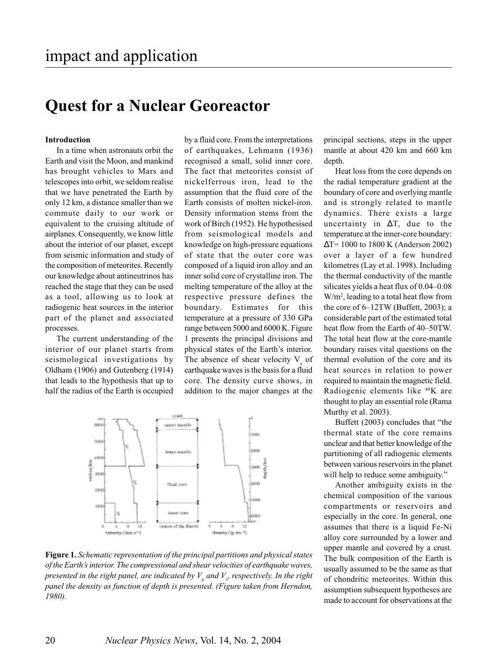# **Quest for a Nuclear Georeactor**

#### **Introduction**

In a time when astronauts orbit the Earth and visit the Moon, and mankind has brought vehicles to Mars and telescopes into orbit, we seldom realise that we have penetrated the Earth by only 12 km, a distance smaller than we commute daily to our work or equivalent to the cruising altitude of airplanes. Consequently, we know little about the interior of our planet, except from seismic information and study of the composition of meteorites. Recently our knowledge about antineutrinos has reached the stage that they can be used as a tool, allowing us to look at radiogenic heat sources in the interior part of the planet and associated processes.

The current understanding of the interior of our planet starts from seismological investigations by Oldham (1906) and Gutenberg (1914) that leads to the hypothesis that up to half the radius of the Earth is occupied

by a fluid core. From the interpretations of earthquakes, Lehmann (1936) recognised a small, solid inner core. The fact that meteorites consist of nickelferrous iron, lead to the assumption that the fluid core of the Earth consists of molten nickel-iron. Density information stems from the work of Birch (1952). He hypothesised from seismological models and knowledge on high-pressure equations of state that the outer core was composed of a liquid iron alloy and an inner solid core of crystalline iron. The melting temperature of the alloy at the respective pressure defines the boundary. Estimates for this temperature at a pressure of 330 GPa range between 5000 and 6000 K. Figure 1 presents the principal divisions and physical states of the Earth's interior. The absence of shear velocity  $V_s$  of earthquake waves is the basis for a fluid core. The density curve shows, in addition to the major changes at the



**Figure 1.** *Schematic representation of the principal partitions and physical states of the Earth's interior. The compressional and shear velocities of earthquake waves,* presented in the right panel, are indicated by  $V_{p}$  and  $V_{s}$ , respectively. In the right *panel the density as function of depth is presented. (Figure taken from Herndon, 1980).*

principal sections, steps in the upper mantle at about 420 km and 660 km depth.

Heat loss from the core depends on the radial temperature gradient at the boundary of core and overlying mantle and is strongly related to mantle dynamics. There exists a large uncertainty in ∆T, due to the temperature at the inner-core boundary: ∆T= 1000 to 1800 K (Anderson 2002) over a layer of a few hundred kilometres (Lay et al. 1998). Including the thermal conductivity of the mantle silicates yields a heat flux of 0.04–0.08 W/m2 , leading to a total heat flow from the core of 6–12TW (Buffett, 2003); a considerable part of the estimated total heat flow from the Earth of 40–50TW. The total heat flow at the core-mantle boundary raises vital questions on the thermal evolution of the core and its heat sources in relation to power required to maintain the magnetic field. Radiogenic elements like 40K are thought to play an essential role (Rama Murthy et al. 2003).

Buffett (2003) concludes that "the thermal state of the core remains unclear and that better knowledge of the partitioning of all radiogenic elements between various reservoirs in the planet will help to reduce some ambiguity."

Another ambiguity exists in the chemical composition of the various compartments or reservoirs and especially in the core. In general, one assumes that there is a liquid Fe-Ni alloy core surrounded by a lower and upper mantle and covered by a crust. The bulk composition of the Earth is usually assumed to be the same as that of chondritic meteorites. Within this assumption subsequent hypotheses are made to account for observations at the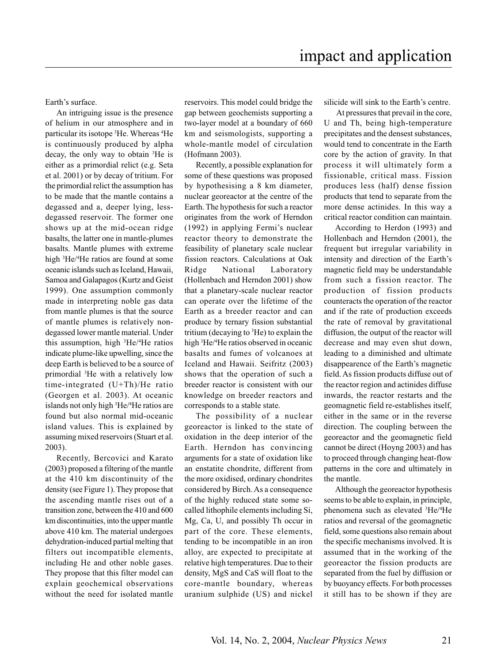Earth's surface.

An intriguing issue is the presence of helium in our atmosphere and in particular its isotope 3 He. Whereas 4 He is continuously produced by alpha decay, the only way to obtain <sup>3</sup>He is either as a primordial relict (e.g. Seta et al. 2001) or by decay of tritium. For the primordial relict the assumption has to be made that the mantle contains a degassed and a, deeper lying, lessdegassed reservoir. The former one shows up at the mid-ocean ridge basalts, the latter one in mantle-plumes basalts. Mantle plumes with extreme high <sup>3</sup>He/<sup>4</sup>He ratios are found at some oceanic islands such as Iceland, Hawaii, Samoa and Galapagos (Kurtz and Geist 1999). One assumption commonly made in interpreting noble gas data from mantle plumes is that the source of mantle plumes is relatively nondegassed lower mantle material. Under this assumption, high <sup>3</sup>He/<sup>4</sup>He ratios indicate plume-like upwelling, since the deep Earth is believed to be a source of primordial 3 He with a relatively low time-integrated (U+Th)/He ratio (Georgen et al. 2003). At oceanic islands not only high 3 He/4 He ratios are found but also normal mid-oceanic island values. This is explained by assuming mixed reservoirs (Stuart et al. 2003).

Recently, Bercovici and Karato (2003) proposed a filtering of the mantle at the 410 km discontinuity of the density (see Figure 1). They propose that the ascending mantle rises out of a transition zone, between the 410 and 600 km discontinuities, into the upper mantle above 410 km. The material undergoes dehydration-induced partial melting that filters out incompatible elements, including He and other noble gases. They propose that this filter model can explain geochemical observations without the need for isolated mantle reservoirs. This model could bridge the gap between geochemists supporting a two-layer model at a boundary of 660 km and seismologists, supporting a whole-mantle model of circulation (Hofmann 2003).

Recently, a possible explanation for some of these questions was proposed by hypothesising a 8 km diameter, nuclear georeactor at the centre of the Earth. The hypothesis for such a reactor originates from the work of Herndon (1992) in applying Fermi's nuclear reactor theory to demonstrate the feasibility of planetary scale nuclear fission reactors. Calculations at Oak Ridge National Laboratory (Hollenbach and Herndon 2001) show that a planetary-scale nuclear reactor can operate over the lifetime of the Earth as a breeder reactor and can produce by ternary fission substantial tritium (decaying to 3 He) to explain the high 3 He/4 He ratios observed in oceanic basalts and fumes of volcanoes at Iceland and Hawaii. Seifritz (2003) shows that the operation of such a breeder reactor is consistent with our knowledge on breeder reactors and corresponds to a stable state.

The possibility of a nuclear georeactor is linked to the state of oxidation in the deep interior of the Earth. Herndon has convincing arguments for a state of oxidation like an enstatite chondrite, different from the more oxidised, ordinary chondrites considered by Birch. As a consequence of the highly reduced state some socalled lithophile elements including Si, Mg, Ca, U, and possibly Th occur in part of the core. These elements, tending to be incompatible in an iron alloy, are expected to precipitate at relative high temperatures. Due to their density, MgS and CaS will float to the core-mantle boundary, whereas uranium sulphide (US) and nickel

silicide will sink to the Earth's centre.

 At pressures that prevail in the core, U and Th, being high-temperature precipitates and the densest substances, would tend to concentrate in the Earth core by the action of gravity. In that process it will ultimately form a fissionable, critical mass. Fission produces less (half) dense fission products that tend to separate from the more dense actinides. In this way a critical reactor condition can maintain.

According to Herdon (1993) and Hollenbach and Herndon (2001), the frequent but irregular variability in intensity and direction of the Earth's magnetic field may be understandable from such a fission reactor. The production of fission products counteracts the operation of the reactor and if the rate of production exceeds the rate of removal by gravitational diffusion, the output of the reactor will decrease and may even shut down, leading to a diminished and ultimate disappearence of the Earth's magnetic field. As fission products diffuse out of the reactor region and actinides diffuse inwards, the reactor restarts and the geomagnetic field re-establishes itself, either in the same or in the reverse direction. The coupling between the georeactor and the geomagnetic field cannot be direct (Hoyng 2003) and has to proceed through changing heat-flow patterns in the core and ultimately in the mantle.

Although the georeactor hypothesis seems to be able to explain, in principle, phenomena such as elevated 3 He/4 He ratios and reversal of the geomagnetic field, some questions also remain about the specific mechanisms involved. It is assumed that in the working of the georeactor the fission products are separated from the fuel by diffusion or by buoyancy effects. For both processes it still has to be shown if they are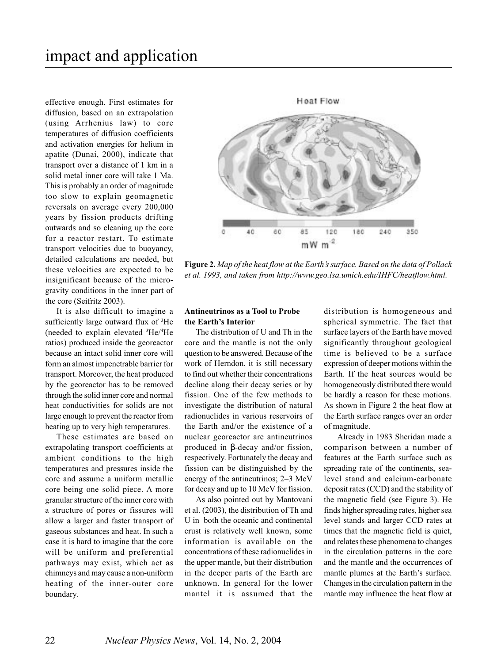effective enough. First estimates for diffusion, based on an extrapolation (using Arrhenius law) to core temperatures of diffusion coefficients and activation energies for helium in apatite (Dunai, 2000), indicate that transport over a distance of 1 km in a solid metal inner core will take 1 Ma. This is probably an order of magnitude too slow to explain geomagnetic reversals on average every 200,000 years by fission products drifting outwards and so cleaning up the core for a reactor restart. To estimate transport velocities due to buoyancy, detailed calculations are needed, but these velocities are expected to be insignificant because of the microgravity conditions in the inner part of the core (Seifritz 2003).

It is also difficult to imagine a sufficiently large outward flux of <sup>3</sup>He (needed to explain elevated 3 He/4 He ratios) produced inside the georeactor because an intact solid inner core will form an almost impenetrable barrier for transport. Moreover, the heat produced by the georeactor has to be removed through the solid inner core and normal heat conductivities for solids are not large enough to prevent the reactor from heating up to very high temperatures.

These estimates are based on extrapolating transport coefficients at ambient conditions to the high temperatures and pressures inside the core and assume a uniform metallic core being one solid piece. A more granular structure of the inner core with a structure of pores or fissures will allow a larger and faster transport of gaseous substances and heat. In such a case it is hard to imagine that the core will be uniform and preferential pathways may exist, which act as chimneys and may cause a non-uniform heating of the inner-outer core boundary.



**Figure 2.** *Map of the heat flow at the Earth's surface. Based on the data of Pollack et al. 1993, and taken from http://www.geo.lsa.umich.edu/IHFC/heatflow.html.*

## **Antineutrinos as a Tool to Probe the Earth's Interior**

The distribution of U and Th in the core and the mantle is not the only question to be answered. Because of the work of Herndon, it is still necessary to find out whether their concentrations decline along their decay series or by fission. One of the few methods to investigate the distribution of natural radionuclides in various reservoirs of the Earth and/or the existence of a nuclear georeactor are antineutrinos produced in β-decay and/or fission, respectively. Fortunately the decay and fission can be distinguished by the energy of the antineutrinos; 2–3 MeV for decay and up to 10 MeV for fission.

As also pointed out by Mantovani et al. (2003), the distribution of Th and U in both the oceanic and continental crust is relatively well known, some information is available on the concentrations of these radionuclides in the upper mantle, but their distribution in the deeper parts of the Earth are unknown. In general for the lower mantel it is assumed that the distribution is homogeneous and spherical symmetric. The fact that surface layers of the Earth have moved significantly throughout geological time is believed to be a surface expression of deeper motions within the Earth. If the heat sources would be homogeneously distributed there would be hardly a reason for these motions. As shown in Figure 2 the heat flow at the Earth surface ranges over an order of magnitude.

 Already in 1983 Sheridan made a comparison between a number of features at the Earth surface such as spreading rate of the continents, sealevel stand and calcium-carbonate deposit rates (CCD) and the stability of the magnetic field (see Figure 3). He finds higher spreading rates, higher sea level stands and larger CCD rates at times that the magnetic field is quiet, and relates these phenomena to changes in the circulation patterns in the core and the mantle and the occurrences of mantle plumes at the Earth's surface. Changes in the circulation pattern in the mantle may influence the heat flow at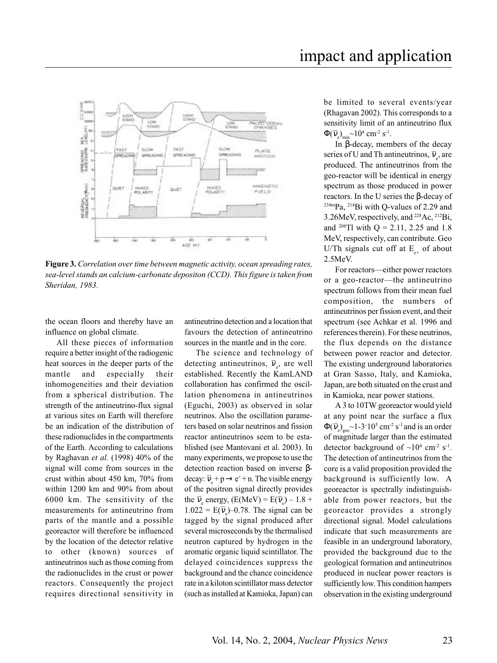

**Figure 3.** *Correlation over time between magnetic activity, ocean spreading rates, sea-level stands an calcium-carbonate depositon (CCD). This figure is taken from Sheridan, 1983.*

the ocean floors and thereby have an influence on global climate.

All these pieces of information require a better insight of the radiogenic heat sources in the deeper parts of the mantle and especially their inhomogeneities and their deviation from a spherical distribution. The strength of the antineutrino-flux signal at various sites on Earth will therefore be an indication of the distribution of these radionuclides in the compartments of the Earth. According to calculations by Raghavan *et al.* (1998) 40% of the signal will come from sources in the crust within about 450 km, 70% from within 1200 km and 90% from about 6000 km. The sensitivity of the measurements for antineutrino from parts of the mantle and a possible georeactor will therefore be influenced by the location of the detector relative to other (known) sources of antineutrinos such as those coming from the radionuclides in the crust or power reactors. Consequently the project requires directional sensitivity in antineutrino detection and a location that favours the detection of antineutrino sources in the mantle and in the core.

The science and technology of detecting antineutrinos,  $\overline{v}_{e}$ , are well established. Recently the KamLAND collaboration has confirmed the oscillation phenomena in antineutrinos (Eguchi, 2003) as observed in solar neutrinos. Also the oscillation parameters based on solar neutrinos and fission reactor antineutrinos seem to be established (see Mantovani et al. 2003). In many experiments, we propose to use the detection reaction based on inverse βdecay:  $\overline{v}_e$  + p  $\rightarrow$  e<sup>+</sup> + n. The visible energy of the positron signal directly provides the  $\overline{v}_e$  energy, (E(MeV) = E( $\overline{v}_e$ ) – 1.8 +  $1.022 = E(\overrightarrow{v_e})$  –0.78. The signal can be tagged by the signal produced after several microseconds by the thermalised neutron captured by hydrogen in the aromatic organic liquid scintillator. The delayed coincidences suppress the background and the chance coincidence rate in a kiloton scintillator mass detector (such as installed at Kamioka, Japan) can

be limited to several events/year (Rhagavan 2002). This corresponds to a sensitivity limit of an antineutrino flux  $\Phi(\overline{v}_{e})_{\text{min}}$ ~10<sup>4</sup> cm<sup>-2</sup> s<sup>-1</sup>.

In β-decay, members of the decay series of U and Th antineutrinos,  $\overline{v}_{e}$ , are produced. The antineutrinos from the geo-reactor will be identical in energy spectrum as those produced in power reactors. In the U series the β-decay of 234mPa, 214Bi with Q-values of 2.29 and 3.26MeV, respectively, and 228Ac, 212Bi, and <sup>208</sup>Tl with Q = 2.11, 2.25 and 1.8 MeV, respectively, can contribute. Geo U/Th signals cut off at  $E_{\text{at}}$  of about 2.5MeV.

For reactors—either power reactors or a geo-reactor—the antineutrino spectrum follows from their mean fuel composition, the numbers of antineutrinos per fission event, and their spectrum (see Achkar et al. 1996 and references therein). For these neutrinos, the flux depends on the distance between power reactor and detector. The existing underground laboratories at Gran Sasso, Italy, and Kamioka, Japan, are both situated on the crust and in Kamioka, near power stations.

A 3 to 10TW georeactor would yield at any point near the surface a flux  $\Phi(\overline{v}_e)_{\text{geo}}$  –1-3·10<sup>5</sup> cm<sup>-2</sup> s<sup>-1</sup> and is an order of magnitude larger than the estimated detector background of  $\sim 10^4$  cm<sup>-2</sup> s<sup>-1</sup>. The detection of antineutrinos from the core is a valid proposition provided the background is sufficiently low. A georeactor is spectrally indistinguishable from power reactors, but the georeactor provides a strongly directional signal. Model calculations indicate that such measurements are feasible in an underground laboratory, provided the background due to the geological formation and antineutrinos produced in nuclear power reactors is sufficiently low. This condition hampers observation in the existing underground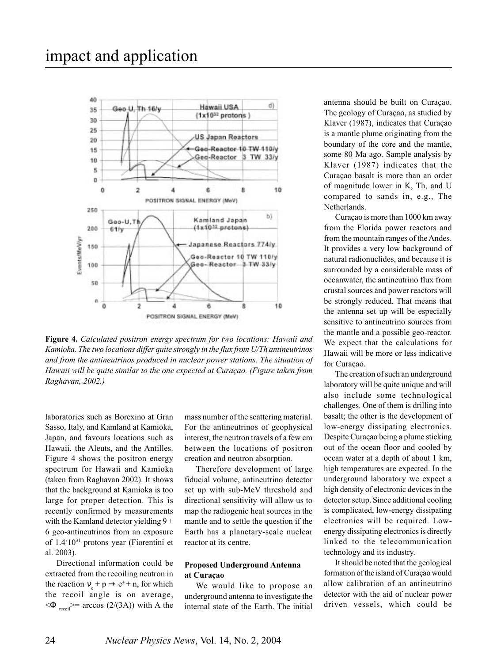

**Figure 4.** *Calculated positron energy spectrum for two locations: Hawaii and Kamioka. The two locations differ quite strongly in the flux from U/Th antineutrinos and from the antineutrinos produced in nuclear power stations. The situation of Hawaii will be quite similar to the one expected at Curaçao. (Figure taken from Raghavan, 2002.)*

laboratories such as Borexino at Gran Sasso, Italy, and Kamland at Kamioka, Japan, and favours locations such as Hawaii, the Aleuts, and the Antilles. Figure 4 shows the positron energy spectrum for Hawaii and Kamioka (taken from Raghavan 2002). It shows that the background at Kamioka is too large for proper detection. This is recently confirmed by measurements with the Kamland detector yielding  $9 \pm$ 6 geo-antineutrinos from an exposure of 1.4<sup>·10<sup>31</sup> protons year (Fiorentini et</sup> al. 2003).

Directional information could be extracted from the recoiling neutron in the reaction  $\overline{v}_e + p \rightarrow e^+ + n$ , for which the recoil angle is on average,  $\langle \Phi \rangle$ <sub>recoil</sub> = arccos (2/(3A)) with A the

mass number of the scattering material. For the antineutrinos of geophysical interest, the neutron travels of a few cm between the locations of positron creation and neutron absorption.

Therefore development of large fiducial volume, antineutrino detector set up with sub-MeV threshold and directional sensitivity will allow us to map the radiogenic heat sources in the mantle and to settle the question if the Earth has a planetary-scale nuclear reactor at its centre.

### **Proposed Underground Antenna at Curaçao**

We would like to propose an underground antenna to investigate the internal state of the Earth. The initial antenna should be built on Curaçao. The geology of Curaçao, as studied by Klaver (1987), indicates that Curaçao is a mantle plume originating from the boundary of the core and the mantle, some 80 Ma ago. Sample analysis by Klaver (1987) indicates that the Curaçao basalt is more than an order of magnitude lower in K, Th, and U compared to sands in, e.g., The Netherlands.

Curaçao is more than 1000 km away from the Florida power reactors and from the mountain ranges of the Andes. It provides a very low background of natural radionuclides, and because it is surrounded by a considerable mass of oceanwater, the antineutrino flux from crustal sources and power reactors will be strongly reduced. That means that the antenna set up will be especially sensitive to antineutrino sources from the mantle and a possible geo-reactor. We expect that the calculations for Hawaii will be more or less indicative for Curaçao.

The creation of such an underground laboratory will be quite unique and will also include some technological challenges. One of them is drilling into basalt; the other is the development of low-energy dissipating electronics. Despite Curaçao being a plume sticking out of the ocean floor and cooled by ocean water at a depth of about 1 km, high temperatures are expected. In the underground laboratory we expect a high density of electronic devices in the detector setup. Since additional cooling is complicated, low-energy dissipating electronics will be required. Lowenergy dissipating electronics is directly linked to the telecommunication technology and its industry.

It should be noted that the geological formation of the island of Curaçao would allow calibration of an antineutrino detector with the aid of nuclear power driven vessels, which could be